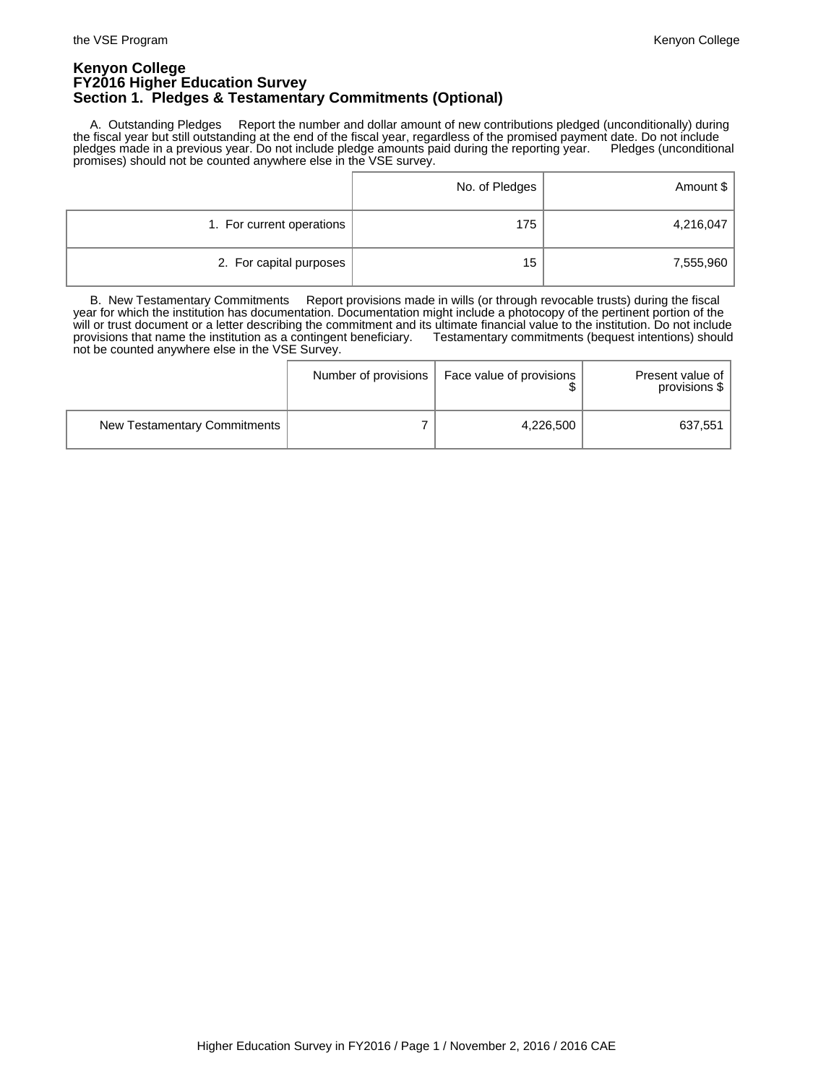### **Kenyon College FY2016 Higher Education Survey Section 1. Pledges & Testamentary Commitments (Optional)**

 A. Outstanding Pledges Report the number and dollar amount of new contributions pledged (unconditionally) during the fiscal year but still outstanding at the end of the fiscal year, regardless of the promised payment date. Do not include pledges made in a previous year. Do not include pledge amounts paid during the reporting year. Pledges (unconditional promises) should not be counted anywhere else in the VSE survey.

|                           | No. of Pledges | Amount \$ |
|---------------------------|----------------|-----------|
| 1. For current operations | 175            | 4,216,047 |
| 2. For capital purposes   | 15             | 7,555,960 |

 B. New Testamentary Commitments Report provisions made in wills (or through revocable trusts) during the fiscal year for which the institution has documentation. Documentation might include a photocopy of the pertinent portion of the will or trust document or a letter describing the commitment and its ultimate financial value to the institution. Do not include provisions that name the institution as a contingent beneficiary. Testamentary commitments (bequest intentions) should not be counted anywhere else in the VSE Survey.

|                              | Number of provisions | Face value of provisions | Present value of<br>provisions \$ |
|------------------------------|----------------------|--------------------------|-----------------------------------|
| New Testamentary Commitments |                      | 4,226,500                | 637,551                           |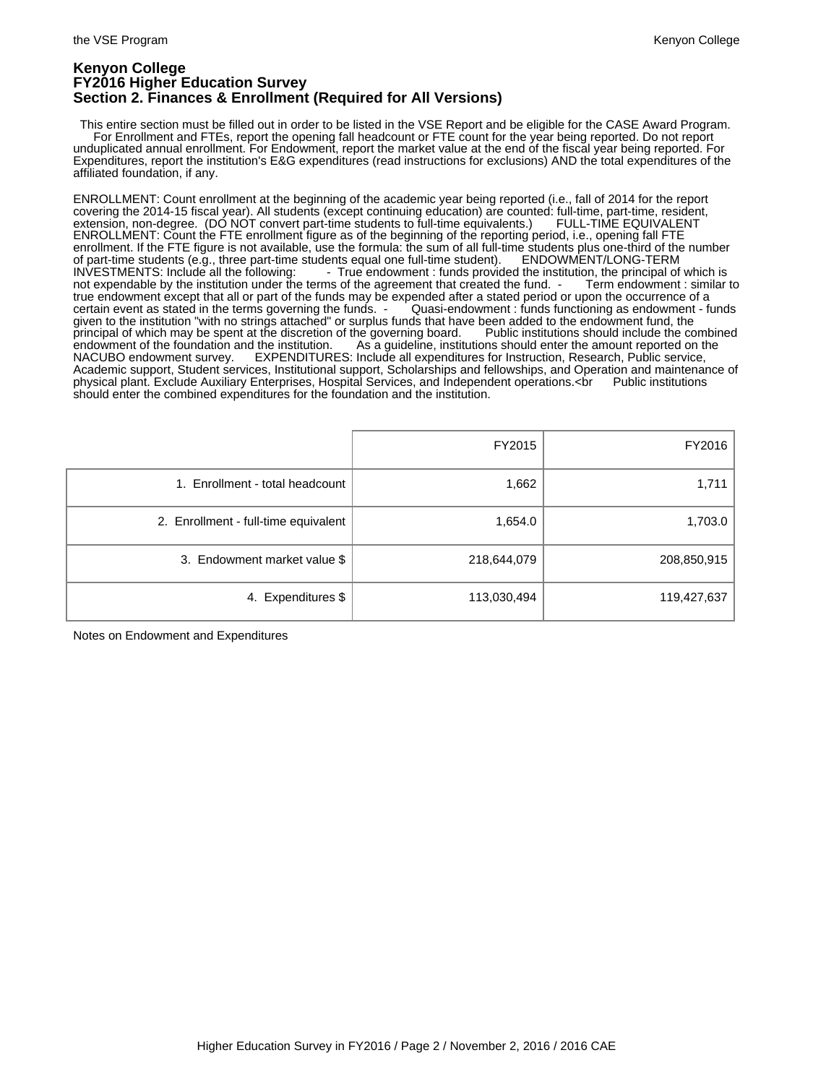### **Kenyon College FY2016 Higher Education Survey Section 2. Finances & Enrollment (Required for All Versions)**

 This entire section must be filled out in order to be listed in the VSE Report and be eligible for the CASE Award Program. For Enrollment and FTEs, report the opening fall headcount or FTE count for the year being reported. Do not report unduplicated annual enrollment. For Endowment, report the market value at the end of the fiscal year being reported. For Expenditures, report the institution's E&G expenditures (read instructions for exclusions) AND the total expenditures of the affiliated foundation, if any.

ENROLLMENT: Count enrollment at the beginning of the academic year being reported (i.e., fall of 2014 for the report covering the 2014-15 fiscal year). All students (except continuing education) are counted: full-time, part-time, resident, extension, non-degree. (DO NOT convert part-time students to full-time equivalents.) FULL-TIME EQUIVALENT ENROLLMENT: Count the FTE enrollment figure as of the beginning of the reporting period, i.e., opening fall FTE enrollment. If the FTE figure is not available, use the formula: the sum of all full-time students plus one-third of the number<br>of part-time students (e.g., three part-time students equal one full-time student). ENDOWMENT/ of part-time students (e.g., three part-time students equal one full-time student).<br>INVESTMENTS: Include all the following: <br>True endowment: funds provident - True endowment : funds provided the institution, the principal of which is ms of the agreement that created the fund. - Term endowment : similar to not expendable by the institution under the terms of the agreement that created the fund. true endowment except that all or part of the funds may be expended after a stated period or upon the occurrence of a certain event as stated in the terms governing the funds. - Quasi-endowment : funds functioning as endowment - funds given to the institution "with no strings attached" or surplus funds that have been added to the endowment fund, the<br>principal of which may be spent at the discretion of the governing board. Public institutions should incl principal of which may be spent at the discretion of the governing board.<br>Public institutions showled institutions showled the combined institutions showled include the found the combi endowment of the foundation and the institution. As a guideline, institutions should enter the amount reported on the<br>NACUBO endowment survey. EXPENDITURES: Include all expenditures for Instruction, Research, Public servic EXPENDITURES: Include all expenditures for Instruction, Research, Public service, Academic support, Student services, Institutional support, Scholarships and fellowships, and Operation and maintenance of<br>physical plant. Exclude Auxiliary Enterprises, Hospital Services, and Independent operations.<br Pub physical plant. Exclude Auxiliary Enterprises, Hospital Services, and Independent operations.<br />
ref> should enter the combined expenditures for the foundation and the institution.

|                                      | FY2015      | FY2016      |
|--------------------------------------|-------------|-------------|
| 1. Enrollment - total headcount      | 1,662       | 1,711       |
| 2. Enrollment - full-time equivalent | 1,654.0     | 1,703.0     |
| 3. Endowment market value \$         | 218,644,079 | 208,850,915 |
| 4. Expenditures \$                   | 113,030,494 | 119,427,637 |

Notes on Endowment and Expenditures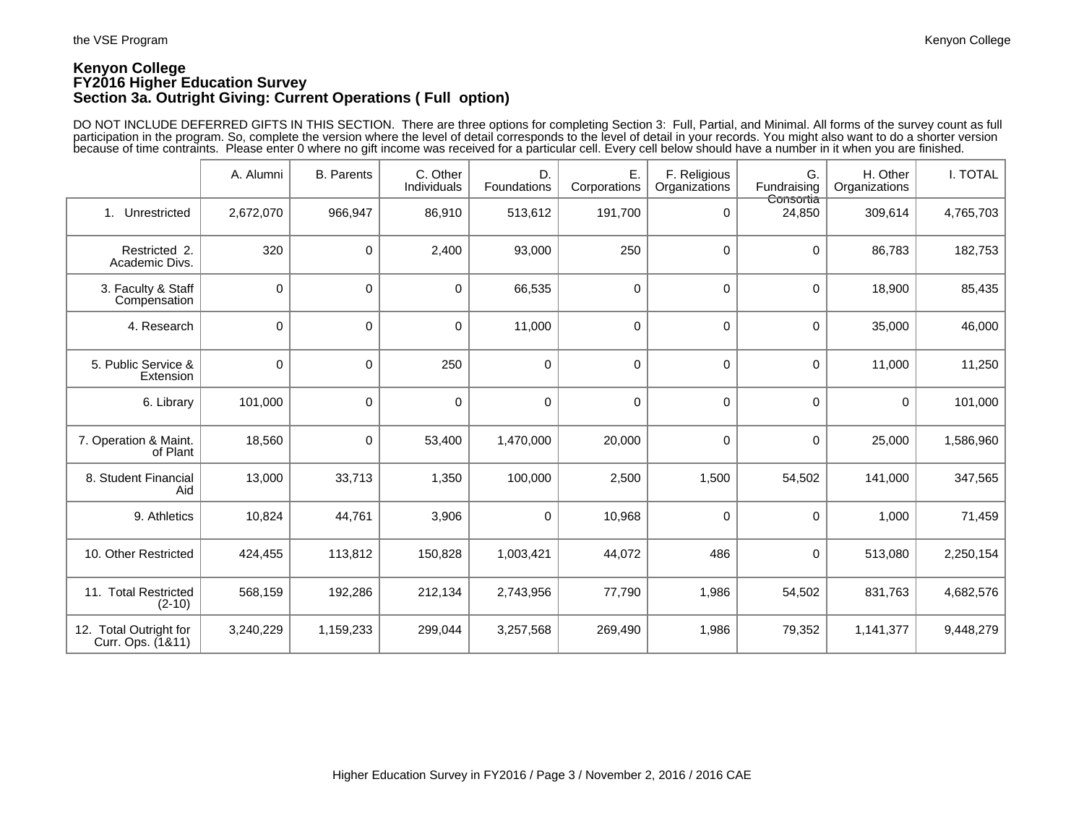## **Kenyon College FY2016 Higher Education Survey Section 3a. Outright Giving: Current Operations ( Full option)**

DO NOT INCLUDE DEFERRED GIFTS IN THIS SECTION. There are three options for completing Section 3: Full, Partial, and Minimal. All forms of the survey count as full participation in the program. So, complete the version where the level of detail corresponds to the level of detail in your records. You might also want to do a shorter version because of time contraints. Please enter 0 where no gift income was received for a particular cell. Every cell below should have a number in it when you are finished.

|                                             | A. Alumni   | <b>B.</b> Parents | C. Other<br>Individuals | D.<br>Foundations | Ε.<br>Corporations | F. Religious<br>Organizations | G.<br>Fundraising   | H. Other<br>Organizations | I. TOTAL  |
|---------------------------------------------|-------------|-------------------|-------------------------|-------------------|--------------------|-------------------------------|---------------------|---------------------------|-----------|
| Unrestricted<br>1 <sup>1</sup>              | 2,672,070   | 966,947           | 86,910                  | 513,612           | 191,700            | 0                             | Consortia<br>24,850 | 309,614                   | 4,765,703 |
| Restricted 2.<br>Academic Divs.             | 320         | 0                 | 2,400                   | 93,000            | 250                | 0                             | $\mathbf 0$         | 86,783                    | 182,753   |
| 3. Faculty & Staff<br>Compensation          | $\mathbf 0$ | 0                 | $\mathbf 0$             | 66,535            | $\mathbf 0$        | $\mathbf 0$                   | 0                   | 18,900                    | 85,435    |
| 4. Research                                 | 0           | 0                 | $\mathbf 0$             | 11,000            | $\mathbf 0$        | $\mathbf 0$                   | $\mathbf 0$         | 35,000                    | 46,000    |
| 5. Public Service &<br>Extension            | 0           | 0                 | 250                     | $\pmb{0}$         | 0                  | $\mathbf 0$                   | $\mathbf 0$         | 11,000                    | 11,250    |
| 6. Library                                  | 101,000     | 0                 | $\mathbf 0$             | $\mathbf 0$       | $\mathbf 0$        | $\mathbf 0$                   | $\mathbf 0$         | $\mathbf 0$               | 101,000   |
| 7. Operation & Maint.<br>of Plant           | 18,560      | 0                 | 53,400                  | 1,470,000         | 20,000             | 0                             | 0                   | 25,000                    | 1,586,960 |
| 8. Student Financial<br>Aid                 | 13,000      | 33,713            | 1,350                   | 100,000           | 2,500              | 1,500                         | 54,502              | 141,000                   | 347,565   |
| 9. Athletics                                | 10,824      | 44,761            | 3,906                   | $\mathbf 0$       | 10,968             | 0                             | 0                   | 1,000                     | 71,459    |
| 10. Other Restricted                        | 424,455     | 113,812           | 150,828                 | 1,003,421         | 44,072             | 486                           | 0                   | 513,080                   | 2,250,154 |
| 11. Total Restricted<br>$(2-10)$            | 568,159     | 192,286           | 212,134                 | 2,743,956         | 77,790             | 1,986                         | 54,502              | 831,763                   | 4,682,576 |
| 12. Total Outright for<br>Curr. Ops. (1&11) | 3,240,229   | 1,159,233         | 299,044                 | 3,257,568         | 269,490            | 1,986                         | 79,352              | 1,141,377                 | 9,448,279 |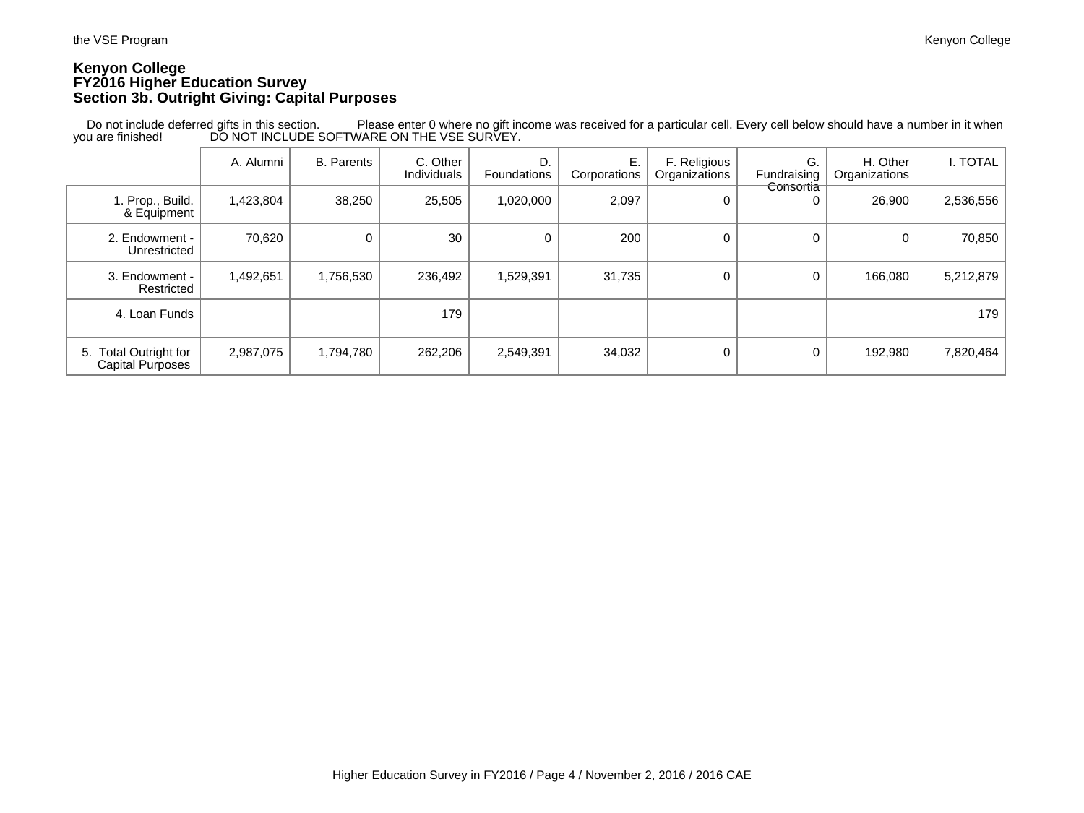### **Kenyon College FY2016 Higher Education Survey Section 3b. Outright Giving: Capital Purposes**

|                                                  | A. Alumni | <b>B.</b> Parents | C. Other<br>Individuals | D.<br><b>Foundations</b> | Е.<br>Corporations | F. Religious<br>Organizations | G.<br>Fundraising | H. Other<br>Organizations | I. TOTAL  |
|--------------------------------------------------|-----------|-------------------|-------------------------|--------------------------|--------------------|-------------------------------|-------------------|---------------------------|-----------|
| 1. Prop., Build.<br>& Equipment                  | 1,423,804 | 38,250            | 25,505                  | 1,020,000                | 2,097              |                               | Consortia<br>0    | 26,900                    | 2,536,556 |
| 2. Endowment -<br>Unrestricted                   | 70,620    | 0                 | 30                      | 0                        | 200                | 0                             | $\Omega$          |                           | 70,850    |
| 3. Endowment -<br>Restricted                     | 1,492,651 | 1,756,530         | 236,492                 | 1,529,391                | 31,735             | 0                             | 0                 | 166,080                   | 5,212,879 |
| 4. Loan Funds                                    |           |                   | 179                     |                          |                    |                               |                   |                           | 179       |
| 5. Total Outright for<br><b>Capital Purposes</b> | 2,987,075 | 1,794,780         | 262,206                 | 2,549,391                | 34,032             |                               | 0                 | 192,980                   | 7,820,464 |

 Do not include deferred gifts in this section. Please enter 0 where no gift income was received for a particular cell. Every cell below should have a number in it when you are finished! DO NOT INCLUDE SOFTWARE ON THE VSE SURVEY.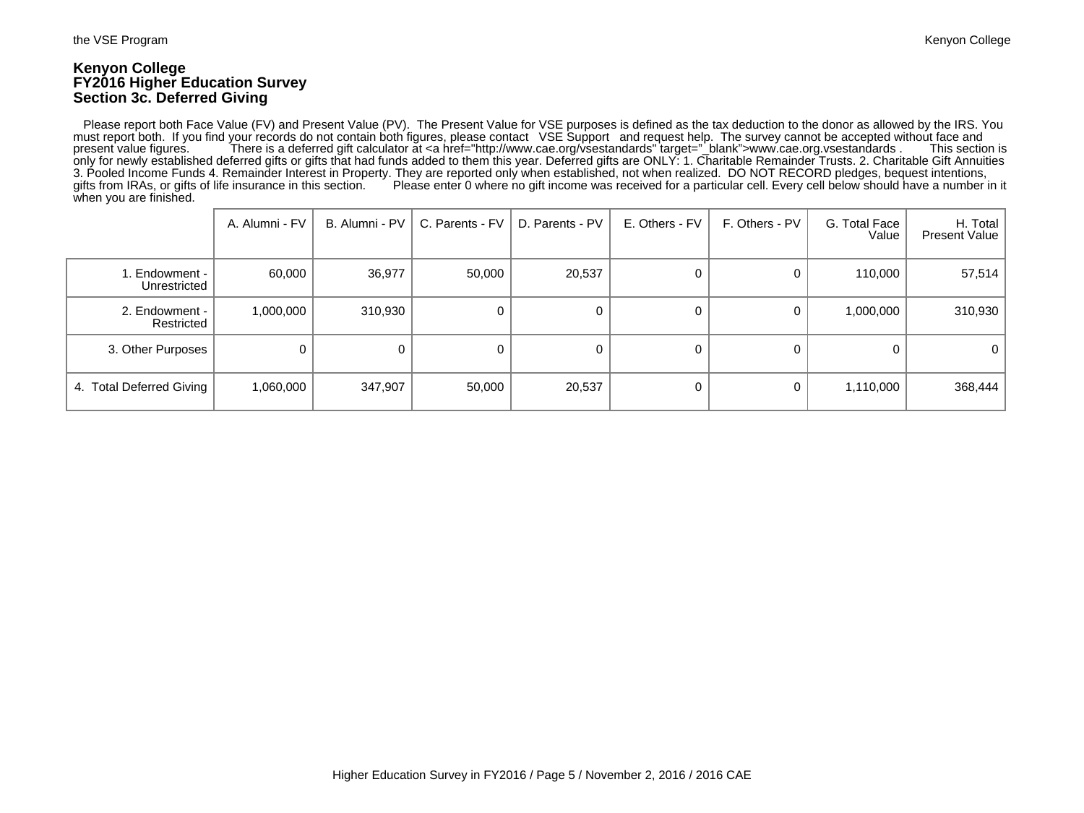### **Kenyon College FY2016 Higher Education Survey Section 3c. Deferred Giving**

 Please report both Face Value (FV) and Present Value (PV). The Present Value for VSE purposes is defined as the tax deduction to the donor as allowed by the IRS. You must report both. If you find your records do not contain both figures, please contact VSE Support and request help. The survey cannot be accepted without face and present value figures. There is a deferred gift calculator There is a deferred gift calculator at <a href="http://www.cae.org/vsestandards" target="\_blank">www.cae.org.vsestandards . only for newly established deferred gifts or gifts that had funds added to them this year. Deferred gifts are ONLY: 1. Charitable Remainder Trusts. 2. Charitable Gift Annuities 3. Pooled Income Funds 4. Remainder Interest in Property. They are reported only when established, not when realized. DO NOT RECORD pledges, bequest intentions, gifts from IRAs, or gifts of life insurance in this section. Please enter 0 where no gift income was received for a particular cell. Every cell below should have a number in it when you are finished.

|                               | A. Alumni - FV | B. Alumni - PV | C. Parents - FV | D. Parents - PV | E. Others - FV | F. Others - PV | G. Total Face<br>Value | H. Total<br><b>Present Value</b> |
|-------------------------------|----------------|----------------|-----------------|-----------------|----------------|----------------|------------------------|----------------------------------|
| . Endowment -<br>Unrestricted | 60,000         | 36,977         | 50,000          | 20,537          | 0              | 0              | 110,000                | 57,514                           |
| 2. Endowment -<br>Restricted  | 1,000,000      | 310,930        | 0               |                 | 0              |                | 1,000,000              | 310,930                          |
| 3. Other Purposes             |                |                | 0               |                 | 0              | 0              |                        | $\mathbf{0}$                     |
| 4. Total Deferred Giving      | 1,060,000      | 347,907        | 50,000          | 20,537          | 0              |                | 1,110,000              | 368,444                          |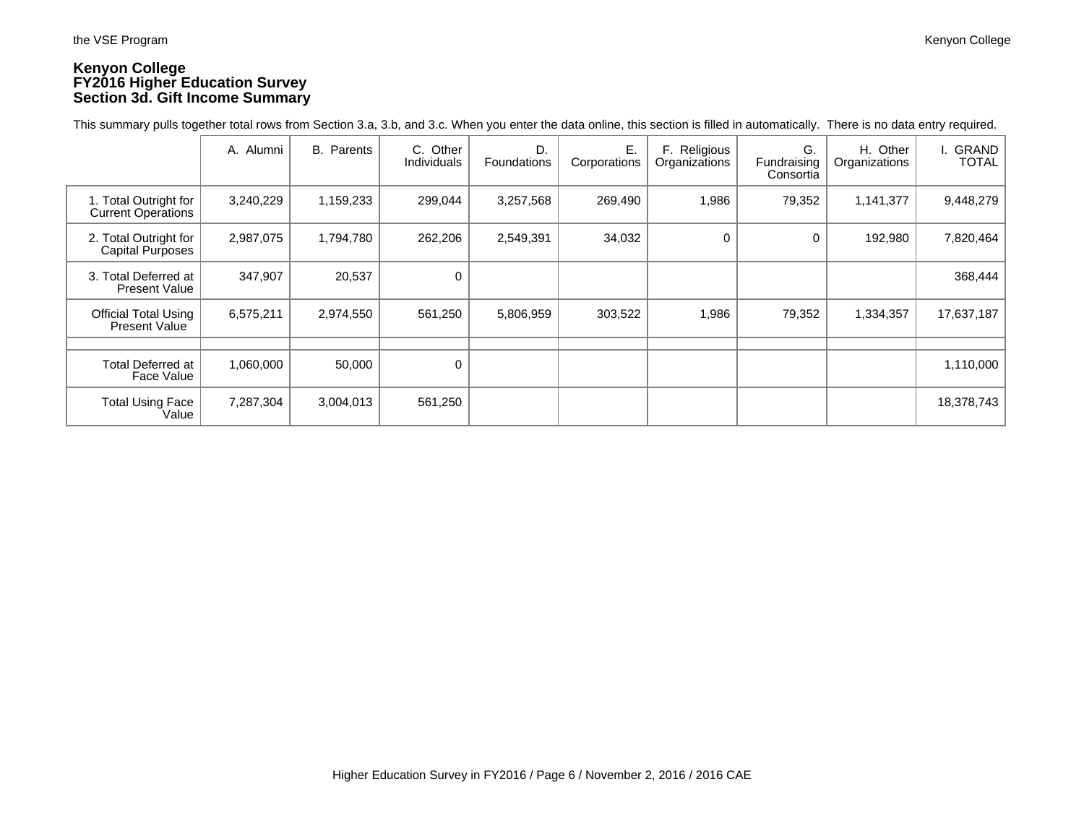## **Kenyon College FY2016 Higher Education Survey Section 3d. Gift Income Summary**

This summary pulls together total rows from Section 3.a, 3.b, and 3.c. When you enter the data online, this section is filled in automatically. There is no data entry required.

|                                                    | A. Alumni | <b>B.</b> Parents | C. Other<br>Individuals | D.<br>Foundations | Ε.<br>Corporations | F. Religious<br>Organizations | G.<br>Fundraising<br>Consortia | H. Other<br>Organizations | GRAND<br><b>TOTAL</b> |
|----------------------------------------------------|-----------|-------------------|-------------------------|-------------------|--------------------|-------------------------------|--------------------------------|---------------------------|-----------------------|
| 1. Total Outright for<br><b>Current Operations</b> | 3,240,229 | 1,159,233         | 299,044                 | 3,257,568         | 269,490            | 1,986                         | 79,352                         | 1,141,377                 | 9,448,279             |
| 2. Total Outright for<br>Capital Purposes          | 2,987,075 | 1,794,780         | 262,206                 | 2,549,391         | 34,032             | $\Omega$                      | 0                              | 192,980                   | 7,820,464             |
| 3. Total Deferred at<br><b>Present Value</b>       | 347,907   | 20,537            | 0                       |                   |                    |                               |                                |                           | 368,444               |
| <b>Official Total Using</b><br>Present Value       | 6,575,211 | 2,974,550         | 561,250                 | 5,806,959         | 303,522            | 1,986                         | 79,352                         | 1,334,357                 | 17,637,187            |
|                                                    |           |                   |                         |                   |                    |                               |                                |                           |                       |
| <b>Total Deferred at</b><br>Face Value             | 1,060,000 | 50,000            | $\mathbf 0$             |                   |                    |                               |                                |                           | 1,110,000             |
| <b>Total Using Face</b><br>Value                   | 7,287,304 | 3,004,013         | 561,250                 |                   |                    |                               |                                |                           | 18,378,743            |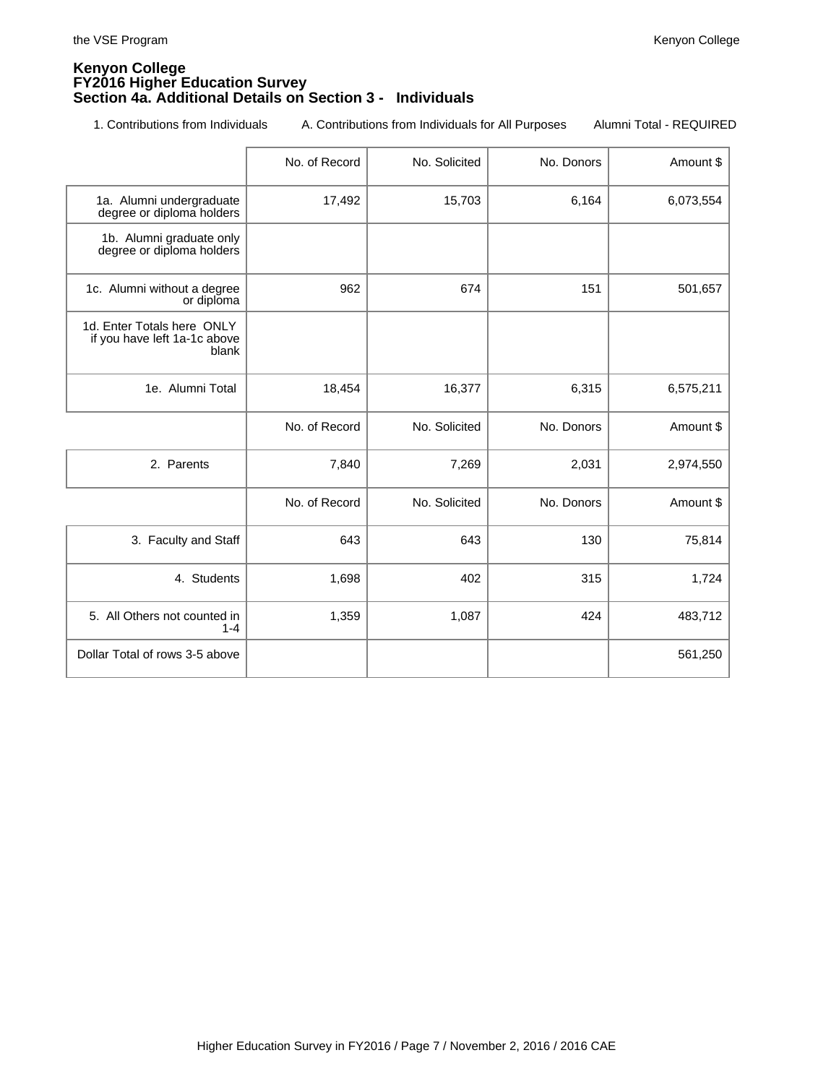### **Kenyon College FY2016 Higher Education Survey Section 4a. Additional Details on Section 3 - Individuals**

1. Contributions from Individuals A. Contributions from Individuals for All Purposes Alumni Total - REQUIRED

|                                                                     | No. of Record | No. Solicited | No. Donors | Amount \$ |
|---------------------------------------------------------------------|---------------|---------------|------------|-----------|
| 1a. Alumni undergraduate<br>degree or diploma holders               | 17,492        | 15,703        | 6,164      | 6,073,554 |
| 1b. Alumni graduate only<br>degree or diploma holders               |               |               |            |           |
| 1c. Alumni without a degree<br>or diploma                           | 962           | 674           | 151        | 501,657   |
| 1d. Enter Totals here ONLY<br>if you have left 1a-1c above<br>blank |               |               |            |           |
| 1e. Alumni Total                                                    | 18,454        | 16,377        | 6,315      | 6,575,211 |
|                                                                     | No. of Record | No. Solicited | No. Donors | Amount \$ |
| 2. Parents                                                          | 7,840         | 7,269         | 2,031      | 2,974,550 |
|                                                                     | No. of Record | No. Solicited | No. Donors | Amount \$ |
| 3. Faculty and Staff                                                | 643           | 643           | 130        | 75,814    |
| 4. Students                                                         | 1,698         | 402           | 315        | 1,724     |
| 5. All Others not counted in<br>$1 - 4$                             | 1,359         | 1,087         | 424        | 483,712   |
| Dollar Total of rows 3-5 above                                      |               |               |            | 561,250   |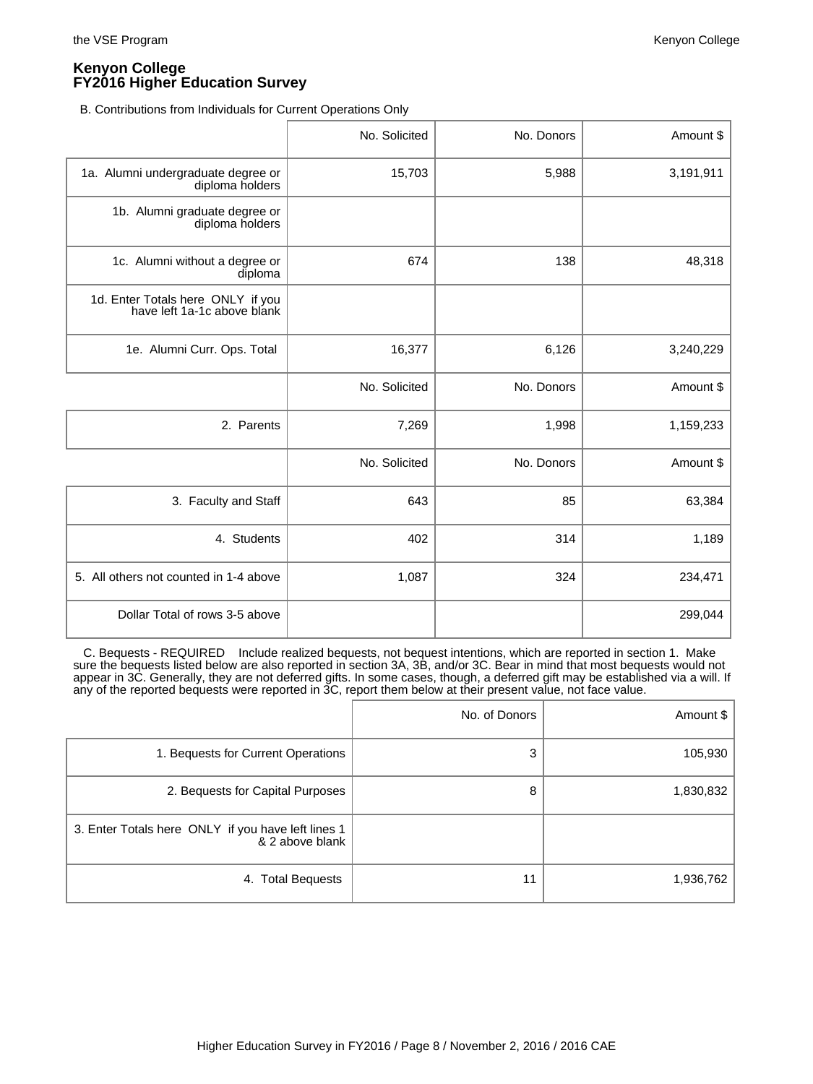B. Contributions from Individuals for Current Operations Only

|                                                                  | No. Solicited | No. Donors | Amount \$ |
|------------------------------------------------------------------|---------------|------------|-----------|
| 1a. Alumni undergraduate degree or<br>diploma holders            | 15,703        | 5,988      | 3,191,911 |
| 1b. Alumni graduate degree or<br>diploma holders                 |               |            |           |
| 1c. Alumni without a degree or<br>diploma                        | 674           | 138        | 48,318    |
| 1d. Enter Totals here ONLY if you<br>have left 1a-1c above blank |               |            |           |
| 1e. Alumni Curr. Ops. Total                                      | 16,377        | 6,126      | 3,240,229 |
|                                                                  | No. Solicited | No. Donors | Amount \$ |
| 2. Parents                                                       | 7,269         | 1,998      | 1,159,233 |
|                                                                  | No. Solicited | No. Donors | Amount \$ |
| 3. Faculty and Staff                                             | 643           | 85         | 63,384    |
| 4. Students                                                      | 402           | 314        | 1,189     |
| 5. All others not counted in 1-4 above                           | 1,087         | 324        | 234,471   |
| Dollar Total of rows 3-5 above                                   |               |            | 299,044   |

 C. Bequests - REQUIRED Include realized bequests, not bequest intentions, which are reported in section 1. Make sure the bequests listed below are also reported in section 3A, 3B, and/or 3C. Bear in mind that most bequests would not appear in 3C. Generally, they are not deferred gifts. In some cases, though, a deferred gift may be established via a will. If any of the reported bequests were reported in 3C, report them below at their present value, not face value.

|                                                                       | No. of Donors | Amount \$ |
|-----------------------------------------------------------------------|---------------|-----------|
| 1. Bequests for Current Operations                                    | 3             | 105,930   |
| 2. Bequests for Capital Purposes                                      | 8             | 1,830,832 |
| 3. Enter Totals here ONLY if you have left lines 1<br>& 2 above blank |               |           |
| 4. Total Bequests                                                     | 11            | 1,936,762 |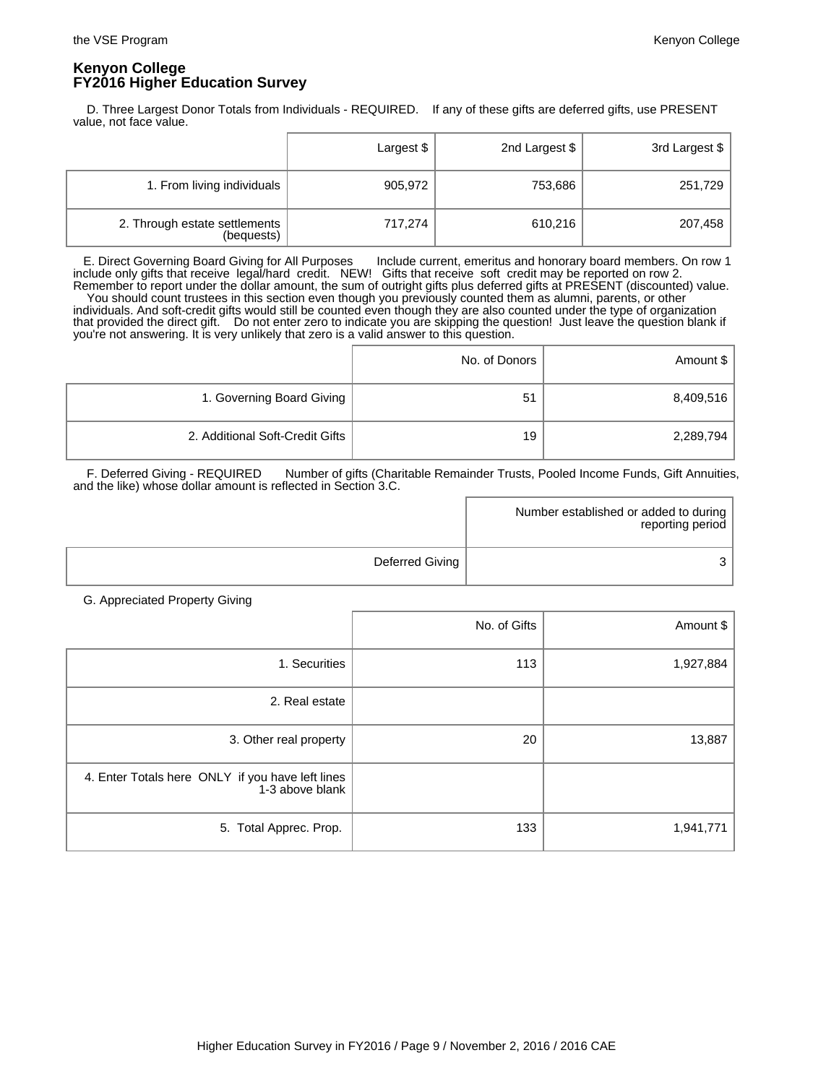D. Three Largest Donor Totals from Individuals - REQUIRED. If any of these gifts are deferred gifts, use PRESENT value, not face value.

|                                             | Largest \$ | 2nd Largest \$ | 3rd Largest \$ |
|---------------------------------------------|------------|----------------|----------------|
| 1. From living individuals                  | 905,972    | 753,686        | 251,729        |
| 2. Through estate settlements<br>(bequests) | 717,274    | 610,216        | 207,458        |

 E. Direct Governing Board Giving for All Purposes Include current, emeritus and honorary board members. On row 1 include only gifts that receive legal/hard credit. NEW! Gifts that receive soft credit may be reported on row 2. Remember to report under the dollar amount, the sum of outright gifts plus deferred gifts at PRESENT (discounted) value. You should count trustees in this section even though you previously counted them as alumni, parents, or other individuals. And soft-credit gifts would still be counted even though they are also counted under the type of organization that provided the direct gift. Do not enter zero to indicate you are skipping the question! Just leave the question blank if you're not answering. It is very unlikely that zero is a valid answer to this question.

|                                 | No. of Donors | Amount \$ |
|---------------------------------|---------------|-----------|
| 1. Governing Board Giving       | 51            | 8,409,516 |
| 2. Additional Soft-Credit Gifts | 19            | 2,289,794 |

F. Deferred Giving - REQUIRED Number of gifts (Charitable Remainder Trusts, Pooled Income Funds, Gift Annuities, and the like) whose dollar amount is reflected in Section 3.C.

|                 | Number established or added to during  <br>reporting period |
|-----------------|-------------------------------------------------------------|
| Deferred Giving |                                                             |

G. Appreciated Property Giving

|                                                                     | No. of Gifts | Amount \$ |
|---------------------------------------------------------------------|--------------|-----------|
| 1. Securities                                                       | 113          | 1,927,884 |
| 2. Real estate                                                      |              |           |
| 3. Other real property                                              | 20           | 13,887    |
| 4. Enter Totals here ONLY if you have left lines<br>1-3 above blank |              |           |
| 5. Total Apprec. Prop.                                              | 133          | 1,941,771 |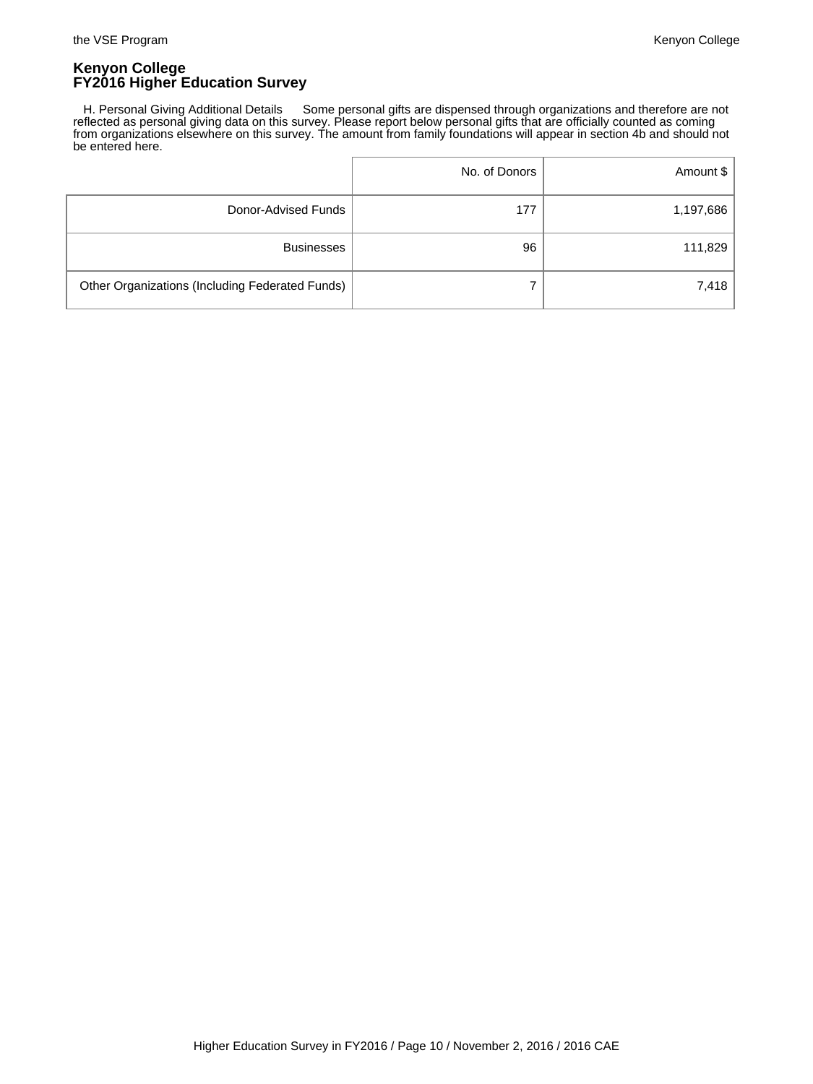H. Personal Giving Additional Details Some personal gifts are dispensed through organizations and therefore are not reflected as personal giving data on this survey. Please report below personal gifts that are officially counted as coming from organizations elsewhere on this survey. The amount from family foundations will appear in section 4b and should not be entered here.

|                                                 | No. of Donors | Amount \$ |
|-------------------------------------------------|---------------|-----------|
| Donor-Advised Funds                             | 177           | 1,197,686 |
| <b>Businesses</b>                               | 96            | 111,829   |
| Other Organizations (Including Federated Funds) | 7             | 7,418     |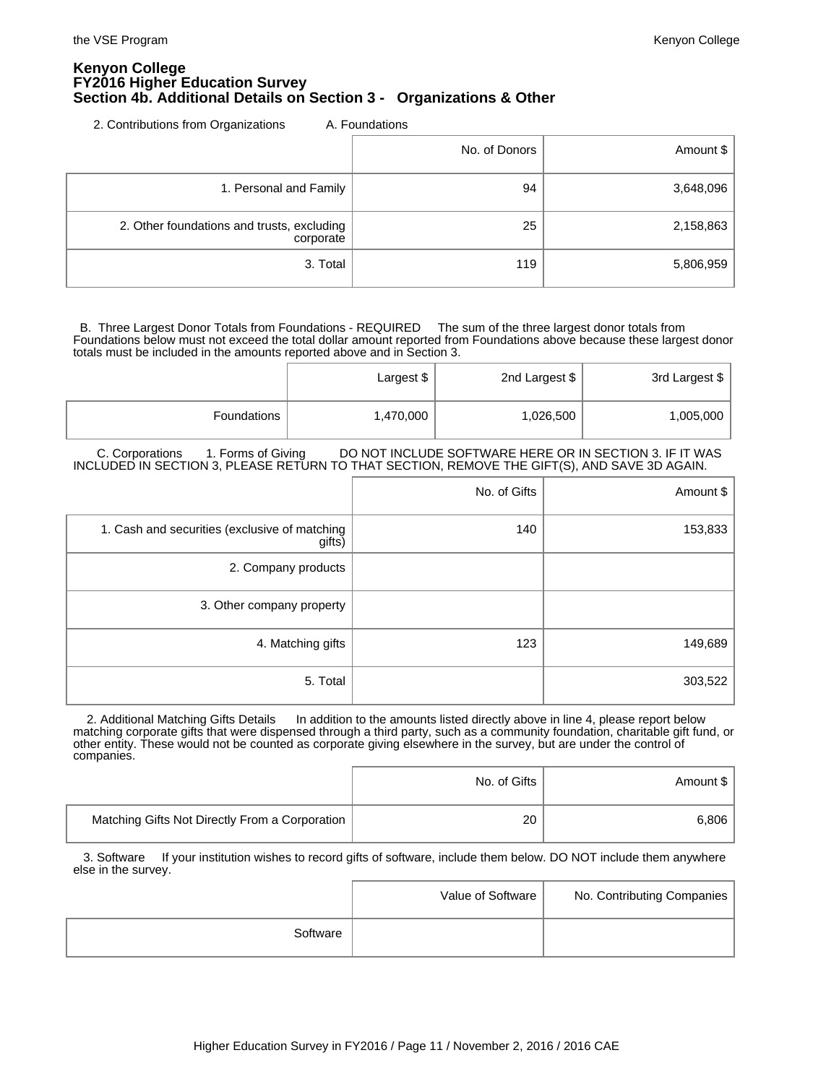### **Kenyon College FY2016 Higher Education Survey Section 4b. Additional Details on Section 3 - Organizations & Other**

2. Contributions from Organizations A. Foundations

|                                                         | No. of Donors | Amount \$ |
|---------------------------------------------------------|---------------|-----------|
| 1. Personal and Family                                  | 94            | 3,648,096 |
| 2. Other foundations and trusts, excluding<br>corporate | 25            | 2,158,863 |
| 3. Total                                                | 119           | 5,806,959 |

 B. Three Largest Donor Totals from Foundations - REQUIRED The sum of the three largest donor totals from Foundations below must not exceed the total dollar amount reported from Foundations above because these largest donor totals must be included in the amounts reported above and in Section 3.

|             | Largest \$ | 2nd Largest \$ | 3rd Largest \$ |
|-------------|------------|----------------|----------------|
| Foundations | 1,470,000  | 1,026,500      | 1,005,000      |

C. Corporations 1. Forms of Giving DO NOT INCLUDE SOFTWARE HERE OR IN SECTION 3. IF IT WAS INCLUDED IN SECTION 3, PLEASE RETURN TO THAT SECTION, REMOVE THE GIFT(S), AND SAVE 3D AGAIN.

|                                                         | No. of Gifts | Amount $\frac{1}{2}$ |
|---------------------------------------------------------|--------------|----------------------|
| 1. Cash and securities (exclusive of matching<br>gifts) | 140          | 153,833              |
| 2. Company products                                     |              |                      |
| 3. Other company property                               |              |                      |
| 4. Matching gifts                                       | 123          | 149,689              |
| 5. Total                                                |              | 303,522              |

2. Additional Matching Gifts Details In addition to the amounts listed directly above in line 4, please report below matching corporate gifts that were dispensed through a third party, such as a community foundation, charitable gift fund, or other entity. These would not be counted as corporate giving elsewhere in the survey, but are under the control of companies.

|                                                | No. of Gifts | Amount \$ |
|------------------------------------------------|--------------|-----------|
| Matching Gifts Not Directly From a Corporation | 20           | 6,806     |

3. Software If your institution wishes to record gifts of software, include them below. DO NOT include them anywhere else in the survey.

|          | Value of Software | No. Contributing Companies |
|----------|-------------------|----------------------------|
| Software |                   |                            |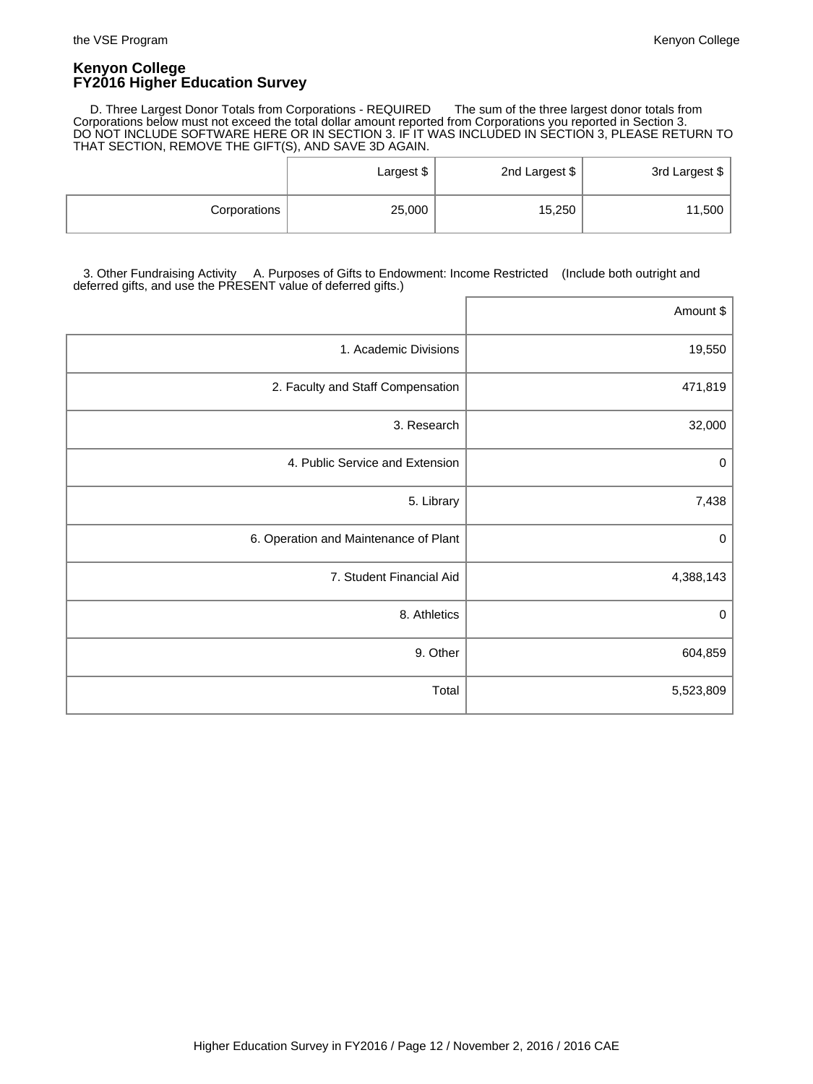D. Three Largest Donor Totals from Corporations - REQUIRED The sum of the three largest donor totals from Corporations below must not exceed the total dollar amount reported from Corporations you reported in Section 3. DO NOT INCLUDE SOFTWARE HERE OR IN SECTION 3. IF IT WAS INCLUDED IN SECTION 3, PLEASE RETURN TO THAT SECTION, REMOVE THE GIFT(S), AND SAVE 3D AGAIN.

|              | Largest \$ | 2nd Largest \$ | 3rd Largest \$ |
|--------------|------------|----------------|----------------|
| Corporations | 25,000     | 15,250         | 11,500         |

 3. Other Fundraising Activity A. Purposes of Gifts to Endowment: Income Restricted (Include both outright and deferred gifts, and use the PRESENT value of deferred gifts.)

|                                       | Amount \$   |
|---------------------------------------|-------------|
| 1. Academic Divisions                 | 19,550      |
| 2. Faculty and Staff Compensation     | 471,819     |
| 3. Research                           | 32,000      |
| 4. Public Service and Extension       | $\pmb{0}$   |
| 5. Library                            | 7,438       |
| 6. Operation and Maintenance of Plant | $\mathbf 0$ |
| 7. Student Financial Aid              | 4,388,143   |
| 8. Athletics                          | $\mathbf 0$ |
| 9. Other                              | 604,859     |
| Total                                 | 5,523,809   |